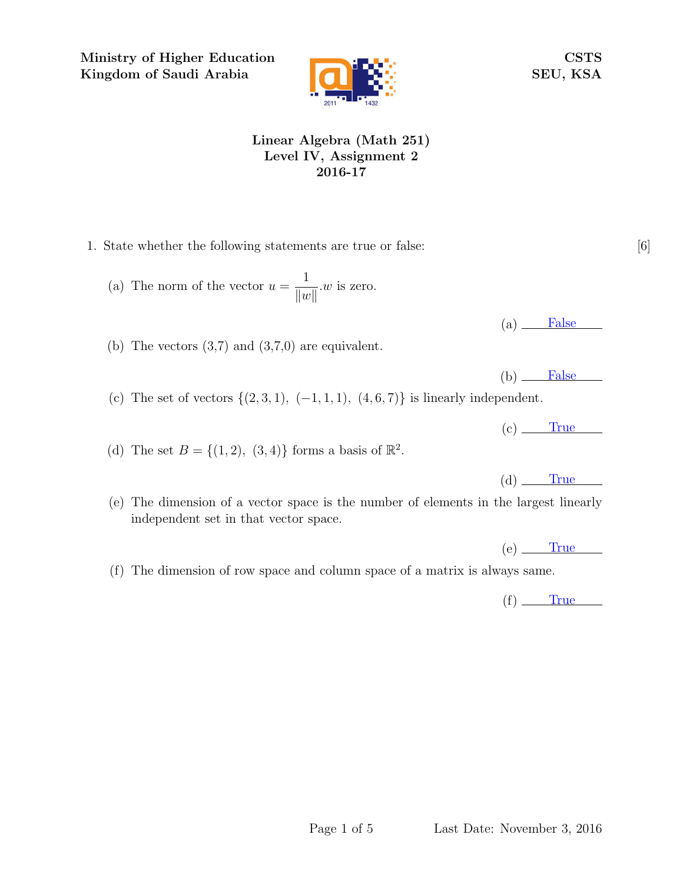Ministry of Higher Education Kingdom of Saudi Arabia



CSTS SEU, KSA

## Linear Algebra (Math 251) Level IV, Assignment 2 2016-17

- 1. State whether the following statements are true or false: [6]
	- (a) The norm of the vector  $u =$ 1  $\|w\|$ .w is zero.
	- (b) The vectors  $(3,7)$  and  $(3,7,0)$  are equivalent.
	- (c) The set of vectors  $\{(2,3,1), (-1,1,1), (4,6,7)\}\$ is linearly independent.
	- (d) The set  $B = \{(1, 2), (3, 4)\}\)$  forms a basis of  $\mathbb{R}^2$ .
	- (e) The dimension of a vector space is the number of elements in the largest linearly independent set in that vector space.
	- (f) The dimension of row space and column space of a matrix is always same.

 $(f)$  True

 $(a)$  False

 $(b)$  False

 $(c)$  True

 $(d)$  True

 $(e)$  True

Page 1 of 5 Last Date: November 3, 2016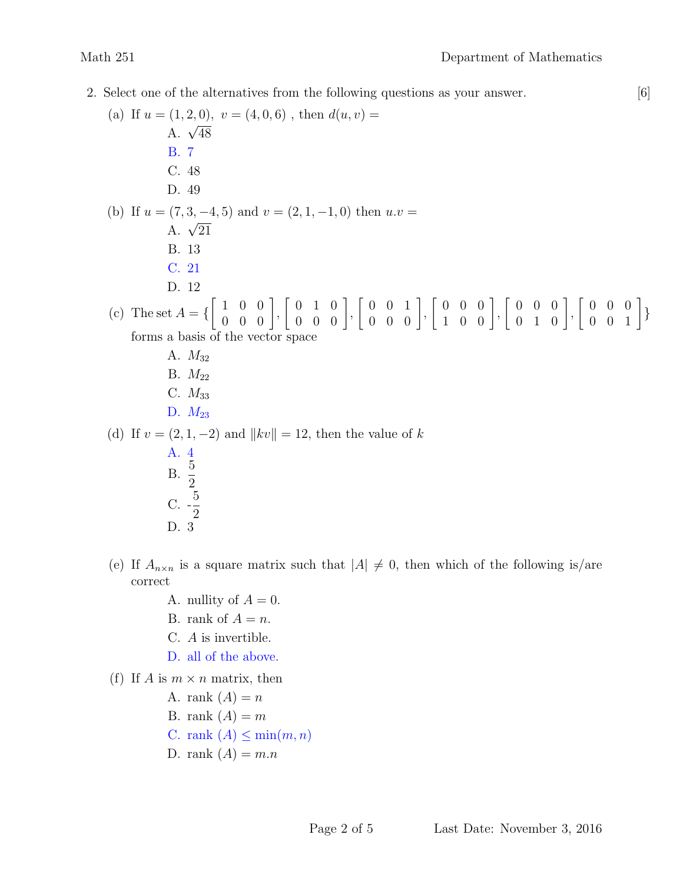- 2. Select one of the alternatives from the following questions as your answer. [6]
	- (a) If  $u = (1, 2, 0), v = (4, 0, 6)$ , then  $d(u, v) =$  $A. \sqrt{48}$ B. 7 C. 48 D. 49 (b) If  $u = (7, 3, -4, 5)$  and  $v = (2, 1, -1, 0)$  then  $u \cdot v =$  $A. \sqrt{21}$ B. 13 C. 21 D. 12 (c) The set  $A = \{$  $\left[ \begin{array}{ccc} 1 & 0 & 0 \\ 0 & 0 & 0 \end{array} \right],$  $\left[\begin{array}{ccc} 0 & 1 & 0 \\ 0 & 0 & 0 \end{array}\right]$  $\left[\begin{array}{ccc} 0 & 0 & 1 \\ 0 & 0 & 0 \end{array}\right]$  $\left[ \begin{array}{rrr} 0 & 0 & 0 \\ 1 & 0 & 0 \end{array} \right],$  $\left[\begin{array}{ccc} 0 & 0 & 0 \\ 0 & 1 & 0 \end{array}\right],$  $\left[\begin{array}{ccc} 0 & 0 & 0 \\ 0 & 0 & 1 \end{array}\right]$ forms a basis of the vector space A.  $M_{32}$ B.  $M_{22}$ C.  $M_{33}$ D.  $M_{23}$ (d) If  $v = (2, 1, -2)$  and  $||kv|| = 12$ , then the value of k A. 4  $\frac{5}{9}$ 2  $C.$  -5 2 D. 3
	- (e) If  $A_{n\times n}$  is a square matrix such that  $|A| \neq 0$ , then which of the following is/are correct
		- A. nullity of  $A = 0$ .
		- B. rank of  $A = n$ .
		- C. A is invertible.
		- D. all of the above.
	- (f) If A is  $m \times n$  matrix, then
		- A. rank  $(A) = n$
		- B. rank  $(A) = m$
		- C. rank  $(A) \leq \min(m, n)$
		- D. rank  $(A) = m.n$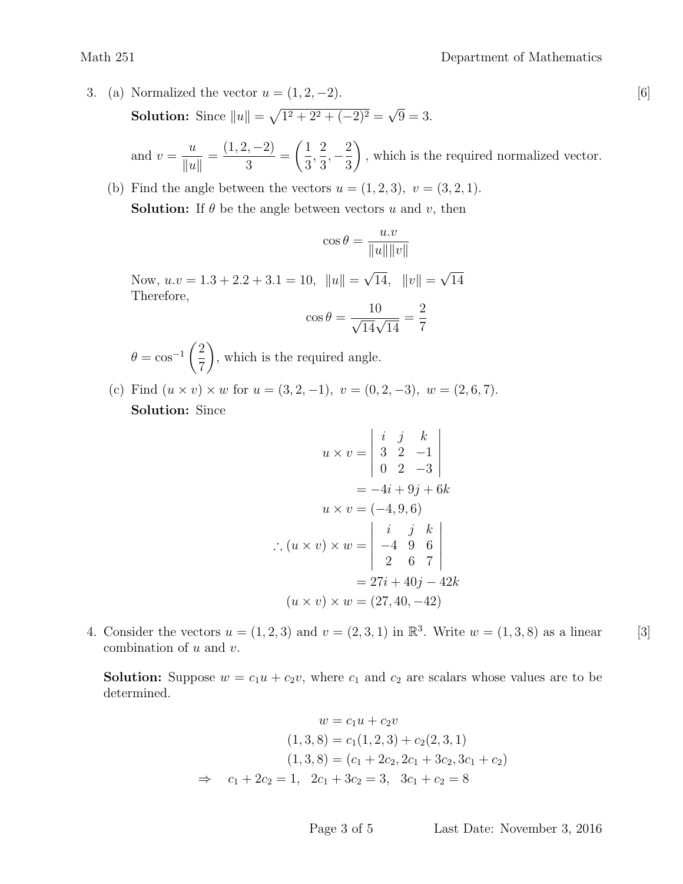3. (a) Normalized the vector  $u = (1, 2, -2)$ . [6] **Solution:** Since  $||u|| = \sqrt{1^2 + 2^2 + (-2)^2} =$ √  $9 = 3.$ 

and  $v =$ u  $\|u\|$ =  $(1, 2, -2)$ 3 =  $\sqrt{1}$ 3 , 2 3  $, -\frac{2}{2}$ 3  $\setminus$ , which is the required normalized vector.

(b) Find the angle between the vectors  $u = (1, 2, 3), v = (3, 2, 1).$ **Solution:** If  $\theta$  be the angle between vectors u and v, then

$$
\cos \theta = \frac{u.v}{\|u\| \|v\|}
$$

Now,  $u.v = 1.3 + 2.2 + 3.1 = 10$ ,  $||u|| =$ √ 14,  $||v|| =$ √ 14 Therefore,

$$
\cos \theta = \frac{10}{\sqrt{14}\sqrt{14}} = \frac{2}{7}
$$

 $\theta = \cos^{-1}\left(\frac{2}{\pi}\right)$ 7  $\setminus$ , which is the required angle.

(c) Find  $(u \times v) \times w$  for  $u = (3, 2, -1), v = (0, 2, -3), w = (2, 6, 7).$ Solution: Since

$$
u \times v = \begin{vmatrix} i & j & k \\ 3 & 2 & -1 \\ 0 & 2 & -3 \end{vmatrix}
$$
  
= -4*i* + 9*j* + 6*k*  

$$
u \times v = (-4, 9, 6)
$$
  

$$
\therefore (u \times v) \times w = \begin{vmatrix} i & j & k \\ -4 & 9 & 6 \\ 2 & 6 & 7 \end{vmatrix}
$$
  
= 27*i* + 40*j* - 42*k*  

$$
(u \times v) \times w = (27, 40, -42)
$$

4. Consider the vectors  $u = (1, 2, 3)$  and  $v = (2, 3, 1)$  in  $\mathbb{R}^3$ . Write  $w = (1, 3, 8)$  as a linear [3] combination of  $u$  and  $v$ .

**Solution:** Suppose  $w = c_1u + c_2v$ , where  $c_1$  and  $c_2$  are scalars whose values are to be determined.

$$
w = c_1u + c_2v
$$
  
(1,3,8) = c<sub>1</sub>(1,2,3) + c<sub>2</sub>(2,3,1)  
(1,3,8) = (c<sub>1</sub> + 2c<sub>2</sub>, 2c<sub>1</sub> + 3c<sub>2</sub>, 3c<sub>1</sub> + c<sub>2</sub>)  

$$
\Rightarrow c_1 + 2c_2 = 1, \quad 2c_1 + 3c_2 = 3, \quad 3c_1 + c_2 = 8
$$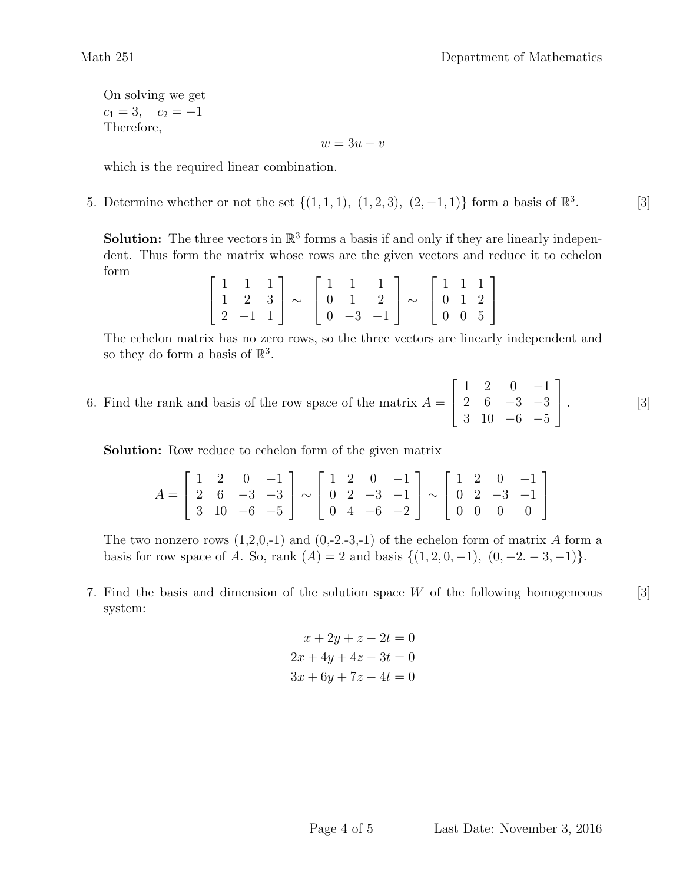On solving we get  $c_1 = 3$ ,  $c_2 = -1$ Therefore,

 $w=3u-v$ 

which is the required linear combination.

5. Determine whether or not the set  $\{(1,1,1), (1,2,3), (2,-1,1)\}$  form a basis of  $\mathbb{R}^3$ . [3]

**Solution:** The three vectors in  $\mathbb{R}^3$  forms a basis if and only if they are linearly independent. Thus form the matrix whose rows are the given vectors and reduce it to echelon form

|  | $\begin{bmatrix} 1 & 1 & 1 \\ 1 & 2 & 3 \end{bmatrix}$ $\sim$ $\begin{bmatrix} 1 & 1 & 1 \\ 0 & 1 & 2 \end{bmatrix}$ $\sim$ $\begin{bmatrix} 1 & 1 & 1 \\ 0 & 1 & 2 \end{bmatrix}$ |  |  |  |  |
|--|------------------------------------------------------------------------------------------------------------------------------------------------------------------------------------|--|--|--|--|
|  | $\begin{bmatrix} 2 & -1 & 1 \end{bmatrix}$ $\begin{bmatrix} 0 & -3 & -1 \end{bmatrix}$ $\begin{bmatrix} 0 & 0 & 5 \end{bmatrix}$                                                   |  |  |  |  |

The echelon matrix has no zero rows, so the three vectors are linearly independent and so they do form a basis of  $\mathbb{R}^3$ .

6. Find the rank and basis of the row space of the matrix  $A = \begin{bmatrix} 2 & 6 & -3 & -3 \end{bmatrix}$ . [3]  $\sqrt{ }$  $\vert$ 1 2 0 −1 2 6  $-3$   $-3$ 3 10 −6 −5 1  $|\cdot$ 

Solution: Row reduce to echelon form of the given matrix

$$
A = \begin{bmatrix} 1 & 2 & 0 & -1 \\ 2 & 6 & -3 & -3 \\ 3 & 10 & -6 & -5 \end{bmatrix} \sim \begin{bmatrix} 1 & 2 & 0 & -1 \\ 0 & 2 & -3 & -1 \\ 0 & 4 & -6 & -2 \end{bmatrix} \sim \begin{bmatrix} 1 & 2 & 0 & -1 \\ 0 & 2 & -3 & -1 \\ 0 & 0 & 0 & 0 \end{bmatrix}
$$

The two nonzero rows  $(1,2,0,-1)$  and  $(0,-2,-3,-1)$  of the echelon form of matrix A form a basis for row space of A. So, rank  $(A) = 2$  and basis  $\{(1, 2, 0, -1), (0, -2, -3, -1)\}.$ 

7. Find the basis and dimension of the solution space  $W$  of the following homogeneous [3] system:

$$
x + 2y + z - 2t = 0
$$
  

$$
2x + 4y + 4z - 3t = 0
$$
  

$$
3x + 6y + 7z - 4t = 0
$$